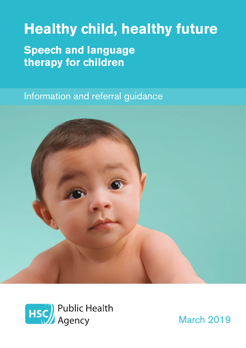# **Speech and language therapy for children**

## Information and referral guidance





March 2019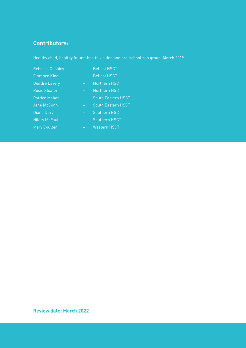### **Contributors:**

Healthy child, healthy future: health visiting and pre-school sub group: March 2019

| <b>Rebecca Cushley</b> | <b>Belfast HSCT</b>       |
|------------------------|---------------------------|
| <b>Florence King</b>   | <b>Belfast HSCT</b>       |
| Deirdre Lavery         | <b>Northern HSCT</b>      |
| <b>Rosie Sleator</b>   | <b>Northern HSCT</b>      |
| <b>Patrice Mahon</b>   | <b>South Eastern HSCT</b> |
| Jane McConn            | <b>South Eastern HSCT</b> |
| Diane Dury             | Southern HSCT             |
| <b>Hilary McFaul</b>   | Southern HSCT             |
| <b>Mary Coulter</b>    | <b>Western HSCT</b>       |
|                        |                           |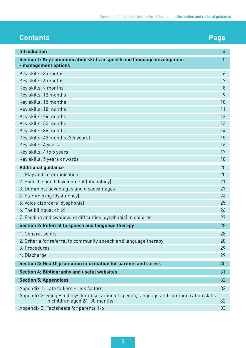### **Contents Page**

| <b>Introduction</b>                                                                                                      | 4  |
|--------------------------------------------------------------------------------------------------------------------------|----|
| Section 1: Key communication skills in speech and language development<br>- management options                           | 5  |
| Key skills: 3 months                                                                                                     | 6  |
| Key skills: 6 months                                                                                                     | 7  |
| Key skills: 9 months                                                                                                     | 8  |
| Key skills: 12 months                                                                                                    | 9  |
| Key skills: 15 months                                                                                                    | 10 |
| Key skills: 18 months                                                                                                    | 11 |
| Key skills: 24 months                                                                                                    | 12 |
| Key skills: 30 months                                                                                                    | 13 |
| Key skills: 36 months                                                                                                    | 14 |
| Key skills: 42 months (31/2 years)                                                                                       | 15 |
| Key skills: 4 years                                                                                                      | 16 |
| Key skills: 4 to 5 years                                                                                                 | 17 |
| Key skills: 5 years onwards                                                                                              | 18 |
| <b>Additional guidance</b>                                                                                               | 20 |
| 1. Play and communication                                                                                                | 20 |
| 2. Speech sound development (phonology)                                                                                  | 21 |
| 3. Dummies: advantages and disadvantages                                                                                 | 23 |
| 4. Stammering (dysfluency)                                                                                               | 24 |
| 5. Voice disorders (dysphonia)                                                                                           | 25 |
| 6. The bilingual child                                                                                                   | 26 |
| 7. Feeding and swallowing difficulties (dysphagia) in children                                                           | 27 |
| Section 2: Referral to speech and language therapy                                                                       | 28 |
| 1. General points                                                                                                        | 28 |
| 2. Criteria for referral to community speech and language therapy                                                        | 28 |
| 3. Procedures                                                                                                            | 29 |
| 4. Discharge                                                                                                             | 29 |
| Section 3: Health promotion information for parents and carers                                                           | 30 |
| <b>Section 4: Bibliography and useful websites</b>                                                                       | 31 |
| <b>Section 5: Appendices</b>                                                                                             | 32 |
| Appendix 1: Late talkers - risk factors                                                                                  | 32 |
| Appendix 2: Suggested toys for observation of speech, language and communication skills<br>in children aged 24-30 months | 32 |
| Appendix 3: Factsheets for parents 1-6                                                                                   | 33 |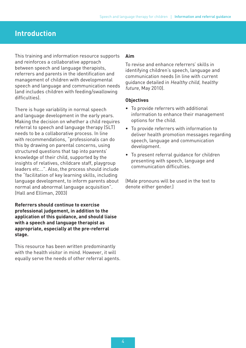### **Introduction**

This training and information resource supports and reinforces a collaborative approach between speech and language therapists, referrers and parents in the identification and management of children with developmental speech and language and communication needs (and includes children with feeding/swallowing difficulties).

There is huge variability in normal speech and language development in the early years. Making the decision on whether a child requires referral to speech and language therapy (SLT) needs to be a collaborative process. In line with recommendations, "professionals can do this by drawing on parental concerns, using structured questions that tap into parents' knowledge of their child, supported by the insights of relatives, childcare staff, playgroup leaders etc...". Also, the process should include the "facilitation of key learning skills, including language development, to inform parents about normal and abnormal language acquisition". (Hall and Elliman, 2003)

**Referrers should continue to exercise professional judgement, in addition to the application of this guidance, and should liaise with a speech and language therapist as appropriate, especially at the pre-referral stage.**

This resource has been written predominantly with the health visitor in mind. However, it will equally serve the needs of other referral agents.

#### **Aim**

To revise and enhance referrers' skills in identifying children's speech, language and communication needs (in line with current guidance detailed in Healthy child, healthy future, May 2010).

#### **Objectives**

- To provide referrers with additional information to enhance their management options for the child.
- To provide referrers with information to deliver health promotion messages regarding speech, language and communication development.
- To present referral guidance for children presenting with speech, language and communication difficulties.

(Male pronouns will be used in the text to denote either gender.)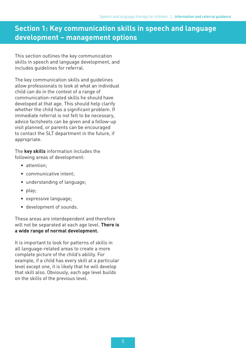### **Section 1: Key communication skills in speech and language development – management options**

This section outlines the key communication skills in speech and language development, and includes guidelines for referral.

The key communication skills and guidelines allow professionals to look at what an individual child can do in the context of a range of communication-related skills he should have developed at that age. This should help clarify whether the child has a significant problem. If immediate referral is not felt to be necessary, advice factsheets can be given and a follow-up visit planned, or parents can be encouraged to contact the SLT department in the future, if appropriate.

The **key skills** information includes the following areas of development:

- attention:
- communicative intent;
- understanding of language;
- play;
- expressive language;
- development of sounds.

These areas are interdependent and therefore will not be separated at each age level. **There is a wide range of normal development.**

It is important to look for patterns of skills in all language-related areas to create a more complete picture of the child's ability. For example, if a child has every skill at a particular level except one, it is likely that he will develop that skill also. Obviously, each age level builds on the skills of the previous level.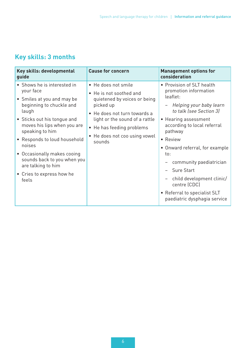### **Key skills: 3 months**

| Key skills: developmental<br>guide                                                                                                                                                                                                                                                                                                                               | <b>Cause for concern</b>                                                                                                                                                                                                              | <b>Management options for</b><br>consideration                                                                                                                                                                                                                                                                                                                                                           |
|------------------------------------------------------------------------------------------------------------------------------------------------------------------------------------------------------------------------------------------------------------------------------------------------------------------------------------------------------------------|---------------------------------------------------------------------------------------------------------------------------------------------------------------------------------------------------------------------------------------|----------------------------------------------------------------------------------------------------------------------------------------------------------------------------------------------------------------------------------------------------------------------------------------------------------------------------------------------------------------------------------------------------------|
| • Shows he is interested in<br>your face<br>• Smiles at you and may be<br>beginning to chuckle and<br>laugh<br>• Sticks out his tongue and<br>moves his lips when you are<br>speaking to him<br>• Responds to loud household<br>noises<br>• Occasionally makes cooing<br>sounds back to you when you<br>are talking to him<br>• Cries to express how he<br>feels | • He does not smile<br>• He is not soothed and<br>quietened by voices or being<br>picked up<br>• He does not turn towards a<br>light or the sound of a rattle<br>• He has feeding problems<br>• He does not coo using vowel<br>sounds | • Provision of SLT health<br>promotion information<br>leaflet:<br>Helping your baby learn<br>to talk (see Section 3)<br>• Hearing assessment<br>according to local referral<br>pathway<br>• Review<br>• Onward referral, for example<br>to:<br>community paediatrician<br><b>Sure Start</b><br>child development clinic/<br>centre (CDC)<br>• Referral to specialist SLT<br>paediatric dysphagia service |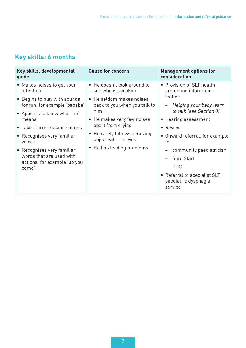### **Key skills: 6 months**

| Key skills: developmental<br>guide                           | <b>Cause for concern</b>                             | <b>Management options for</b><br>consideration                  |
|--------------------------------------------------------------|------------------------------------------------------|-----------------------------------------------------------------|
| • Makes noises to get your<br>attention                      | • He doesn't look around to<br>see who is speaking   | • Provision of SLT health<br>promotion information              |
| • Begins to play with sounds                                 | • He seldom makes noises                             | leaflet:                                                        |
| for fun, for example 'bababa'<br>• Appears to know what 'no' | back to you when you talk to<br>him                  | Helping your baby learn<br>to talk (see Section 3)              |
| means                                                        | • He makes very few noises                           | • Hearing assessment                                            |
| • Takes turns making sounds                                  | apart from crying                                    | • Review                                                        |
| • Recognises very familiar<br>voices                         | • He rarely follows a moving<br>object with his eyes | • Onward referral, for example<br>to:                           |
| • Recognises very familiar                                   | • He has feeding problems                            | community paediatrician                                         |
| words that are used with<br>actions, for example 'up you     |                                                      | <b>Sure Start</b>                                               |
| come'                                                        |                                                      | CDC                                                             |
|                                                              |                                                      | • Referral to specialist SLT<br>paediatric dysphagia<br>service |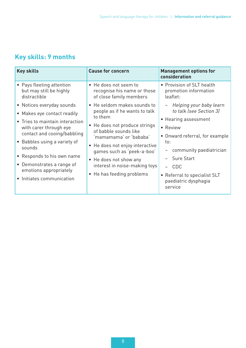### **Key skills: 9 months**

| <b>Key skills</b>                                                                        | <b>Cause for concern</b>                                                                | <b>Management options for</b><br>consideration                     |
|------------------------------------------------------------------------------------------|-----------------------------------------------------------------------------------------|--------------------------------------------------------------------|
| • Pays fleeting attention<br>but may still be highly<br>distractible                     | • He does not seem to<br>recognise his name or those<br>of close family members         | • Provision of SLT health<br>promotion information<br>leaflet:     |
| • Notices everyday sounds                                                                | • He seldom makes sounds to                                                             | Helping your baby learn                                            |
| • Makes eye contact readily                                                              | people as if he wants to talk<br>to them                                                | to talk (see Section 3)                                            |
| • Tries to maintain interaction<br>with carer through eye<br>contact and cooing/babbling | • He does not produce strings<br>of babble sounds like                                  | • Hearing assessment<br>• Review<br>• Onward referral, for example |
| • Babbles using a variety of<br>sounds                                                   | 'mamamama' or 'bababa'<br>• He does not enjoy interactive<br>games such as 'peek-a-boo' | to:<br>community paediatrician                                     |
| • Responds to his own name                                                               | • He does not show any                                                                  | <b>Sure Start</b>                                                  |
| • Demonstrates a range of                                                                | interest in noise-making toys                                                           | CDC                                                                |
| emotions appropriately<br>• Initiates communication                                      | • He has feeding problems                                                               | • Referral to specialist SLT<br>paediatric dysphagia<br>service    |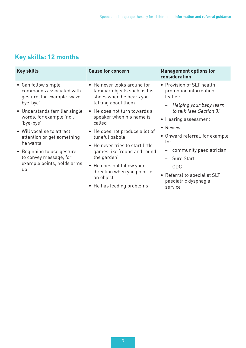### **Key skills: 12 months**

| <b>Key skills</b>                                                                         | <b>Cause for concern</b>                                                                                     | <b>Management options for</b><br>consideration                                            |
|-------------------------------------------------------------------------------------------|--------------------------------------------------------------------------------------------------------------|-------------------------------------------------------------------------------------------|
| • Can follow simple<br>commands associated with<br>gesture, for example 'wave<br>bye-bye' | • He never looks around for<br>familiar objects such as his<br>shoes when he hears you<br>talking about them | • Provision of SLT health<br>promotion information<br>leaflet:<br>Helping your baby learn |
| • Understands familiar single<br>words, for example 'no',<br>'bye-bye'                    | • He does not turn towards a<br>speaker when his name is<br>called                                           | to talk (see Section 3)<br>• Hearing assessment<br>• Review                               |
| • Will vocalise to attract<br>attention or get something<br>he wants                      | • He does not produce a lot of<br>tuneful babble<br>• He never tries to start little                         | • Onward referral, for example<br>to:                                                     |
| • Beginning to use gesture<br>to convey message, for<br>example points, holds arms<br>up  | games like 'round and round<br>the garden'<br>• He does not follow your<br>direction when you point to       | community paediatrician<br><b>Sure Start</b><br>CDC                                       |
|                                                                                           | an object<br>• He has feeding problems                                                                       | • Referral to specialist SLT<br>paediatric dysphagia<br>service                           |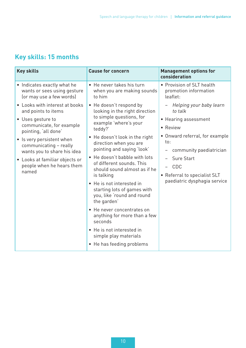### **Key skills: 15 months**

| <b>Key skills</b>                                                                                                                                                                                                                                                                            | <b>Cause for concern</b>                                                                                                                                                                                                                                                                                                                                                                                                                                                                                                                                                | <b>Management options for</b><br>consideration                                                                                                                                                                                  |
|----------------------------------------------------------------------------------------------------------------------------------------------------------------------------------------------------------------------------------------------------------------------------------------------|-------------------------------------------------------------------------------------------------------------------------------------------------------------------------------------------------------------------------------------------------------------------------------------------------------------------------------------------------------------------------------------------------------------------------------------------------------------------------------------------------------------------------------------------------------------------------|---------------------------------------------------------------------------------------------------------------------------------------------------------------------------------------------------------------------------------|
| • Indicates exactly what he<br>wants or sees using gesture<br>(or may use a few words)                                                                                                                                                                                                       | • He never takes his turn<br>when you are making sounds<br>to him                                                                                                                                                                                                                                                                                                                                                                                                                                                                                                       | • Provision of SLT health<br>promotion information<br>leaflet:                                                                                                                                                                  |
| • Looks with interest at books<br>and points to items<br>• Uses gesture to<br>communicate, for example<br>pointing, 'all done'<br>• Is very persistent when<br>communicating - really<br>wants you to share his idea<br>• Looks at familiar objects or<br>people when he hears them<br>named | • He doesn't respond by<br>looking in the right direction<br>to simple questions, for<br>example 'where's your<br>teddy?'<br>• He doesn't look in the right<br>direction when you are<br>pointing and saying 'look'<br>• He doesn't babble with lots<br>of different sounds. This<br>should sound almost as if he<br>is talking<br>• He is not interested in<br>starting lots of games with<br>you, like 'round and round<br>the garden'<br>• He never concentrates on<br>anything for more than a few<br>seconds<br>• He is not interested in<br>simple play materials | Helping your baby learn<br>to talk<br>• Hearing assessment<br>• Review<br>• Onward referral, for example<br>to:<br>community paediatrician<br>Sure Start<br>CDC<br>• Referral to specialist SLT<br>paediatric dysphagia service |
|                                                                                                                                                                                                                                                                                              | • He has feeding problems                                                                                                                                                                                                                                                                                                                                                                                                                                                                                                                                               |                                                                                                                                                                                                                                 |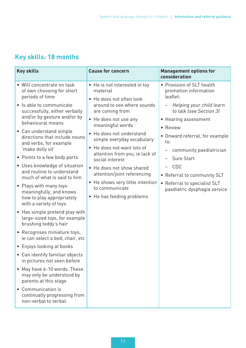### **Key skills: 18 months**

| <b>Key skills</b>                                                                                             | <b>Cause for concern</b>                                                                               | <b>Management options for</b><br>consideration                               |
|---------------------------------------------------------------------------------------------------------------|--------------------------------------------------------------------------------------------------------|------------------------------------------------------------------------------|
| • Will concentrate on task<br>of own choosing for short<br>periods of time                                    | • He is not interested in toy<br>material                                                              | • Provision of SLT health<br>promotion information<br>leaflet:               |
| • Is able to communicate<br>successfully, either verbally<br>and/or by gesture and/or by<br>behavioural means | • He does not often look<br>around to see where sounds<br>are coming from<br>• He does not use any     | Helping your child learn<br>to talk (see Section 3)<br>• Hearing assessment  |
| • Can understand simple<br>directions that include nouns<br>and verbs, for example<br>'make dolly sit'        | meaningful words<br>He does not understand<br>simple everyday vocabulary<br>• He does not want lots of | • Review<br>• Onward referral, for example<br>to:<br>community paediatrician |
| • Points to a few body parts                                                                                  | attention from you, ie lack of<br>social interest                                                      | <b>Sure Start</b>                                                            |
| • Uses knowledge of situation<br>and routine to understand<br>much of what is said to him                     | • He does not show shared<br>attention/joint referencing                                               | CDC<br>• Referral to community SLT                                           |
| • Plays with many toys<br>meaningfully, and knows<br>how to play appropriately<br>with a variety of toys      | • He shows very little intention<br>to communicate<br>• He has feeding problems                        | • Referral to specialist SLT<br>paediatric dysphagia service                 |
| • Has simple pretend play with<br>large-sized toys, for example<br>brushing teddy's hair                      |                                                                                                        |                                                                              |
| • Recognises miniature toys,<br>ie can select a bed, chair, etc                                               |                                                                                                        |                                                                              |
| • Enjoys looking at books                                                                                     |                                                                                                        |                                                                              |
| • Can identify familiar objects<br>in pictures not seen before                                                |                                                                                                        |                                                                              |
| • May have 6-10 words. These<br>may only be understood by<br>parents at this stage                            |                                                                                                        |                                                                              |
| Communication is<br>continually progressing from<br>non-verbal to verbal                                      |                                                                                                        |                                                                              |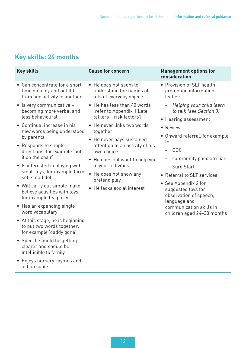### **Key skills: 24 months**

| <b>Key skills</b>                                                                                                                                                                                                                                                                                                                                                                                                                                                                                                                                                  | <b>Cause for concern</b>                                                                                                                                                                                                                             | <b>Management options for</b><br>consideration                                                                                                                                                                                                                                                                           |
|--------------------------------------------------------------------------------------------------------------------------------------------------------------------------------------------------------------------------------------------------------------------------------------------------------------------------------------------------------------------------------------------------------------------------------------------------------------------------------------------------------------------------------------------------------------------|------------------------------------------------------------------------------------------------------------------------------------------------------------------------------------------------------------------------------------------------------|--------------------------------------------------------------------------------------------------------------------------------------------------------------------------------------------------------------------------------------------------------------------------------------------------------------------------|
| • Can concentrate for a short<br>time on a toy and not flit<br>from one activity to another                                                                                                                                                                                                                                                                                                                                                                                                                                                                        | • He does not seem to<br>understand the names of<br>lots of everyday objects                                                                                                                                                                         | • Provision of SLT health<br>promotion information<br>leaflet:                                                                                                                                                                                                                                                           |
| • Is very communicative -<br>becoming more verbal and<br>less behavioural                                                                                                                                                                                                                                                                                                                                                                                                                                                                                          | • He has less than 40 words<br>(refer to Appendix 1'Late<br>talkers - risk factors')                                                                                                                                                                 | Helping your child learn<br>to talk (see Section 3)                                                                                                                                                                                                                                                                      |
| • Continual increase in his<br>new words being understood<br>by parents<br>• Responds to simple<br>directions, for example 'put<br>it on the chair'<br>• Is interested in playing with<br>small toys, for example farm<br>set, small doll<br>• Will carry out simple make<br>believe activities with toys,<br>for example tea party<br>• Has an expanding single<br>word vocabulary<br>• At this stage, he is beginning<br>to put two words together,<br>for example 'daddy gone'<br>• Speech should be getting<br>clearer and should be<br>intelligible to family | • He never links two words<br>together<br>• He never pays sustained<br>attention to an activity of his<br>own choice<br>• He does not want to help you<br>in your activities<br>• He does not show any<br>pretend play<br>• He lacks social interest | • Hearing assessment<br>• Review<br>• Onward referral, for example<br>to:<br>- CDC<br>community paediatrician<br><b>Sure Start</b><br>$-$<br>• Referral to SLT services<br>• See Appendix 2 for<br>suggested toys for<br>observation of speech,<br>language and<br>communication skills in<br>children aged 24-30 months |
| • Enjoys nursery rhymes and<br>action songs                                                                                                                                                                                                                                                                                                                                                                                                                                                                                                                        |                                                                                                                                                                                                                                                      |                                                                                                                                                                                                                                                                                                                          |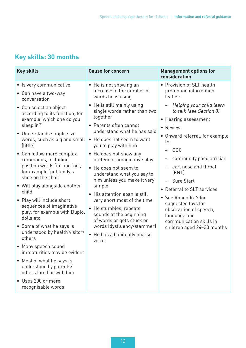### **Key skills: 30 months**

| <b>Key skills</b>                                                                                                                                                                                                                | <b>Cause for concern</b>                                                                                                                                                                                                                       | <b>Management options for</b><br>consideration                                                                                                                     |
|----------------------------------------------------------------------------------------------------------------------------------------------------------------------------------------------------------------------------------|------------------------------------------------------------------------------------------------------------------------------------------------------------------------------------------------------------------------------------------------|--------------------------------------------------------------------------------------------------------------------------------------------------------------------|
| · Is very communicative<br>• Can have a two-way<br>conversation                                                                                                                                                                  | • He is not showing an<br>increase in the number of<br>words he is using                                                                                                                                                                       | • Provision of SLT health<br>promotion information<br>leaflet:                                                                                                     |
| • Can select an object<br>according to its function, for<br>example 'which one do you<br>sleep in?'<br>• Understands simple size<br>words, such as big and small<br>(little)<br>• Can follow more complex<br>commands, including | • He is still mainly using<br>single words rather than two<br>together<br>• Parents often cannot<br>understand what he has said<br>• He does not seem to want<br>you to play with him<br>• He does not show any<br>pretend or imaginative play | Helping your child learn<br>to talk (see Section 3)<br>• Hearing assessment<br>• Review<br>• Onward referral, for example<br>to:<br>CDC<br>community paediatrician |
| position words 'in' and 'on',<br>for example 'put teddy's<br>shoe on the chair'<br>• Will play alongside another<br>child                                                                                                        | • He does not seem to<br>understand what you say to<br>him unless you make it very<br>simple<br>• His attention span is still                                                                                                                  | ear, nose and throat<br>(ENT)<br>- Sure Start<br>• Referral to SLT services<br>• See Appendix 2 for                                                                |
| • Play will include short<br>sequences of imaginative<br>play, for example with Duplo,<br>dolls etc                                                                                                                              | very short most of the time<br>• He stumbles, repeats<br>sounds at the beginning<br>of words or gets stuck on                                                                                                                                  | suggested toys for<br>observation of speech,<br>language and<br>communication skills in                                                                            |
| • Some of what he says is<br>understood by health visitor/<br>others                                                                                                                                                             | words (dysfluency/stammer)<br>• He has a habitually hoarse<br>voice                                                                                                                                                                            | children aged 24-30 months                                                                                                                                         |
| • Many speech sound<br>immaturities may be evident<br>• Most of what he says is<br>understood by parents/<br>others familiar with him                                                                                            |                                                                                                                                                                                                                                                |                                                                                                                                                                    |
| • Uses 200 or more<br>recognisable words                                                                                                                                                                                         |                                                                                                                                                                                                                                                |                                                                                                                                                                    |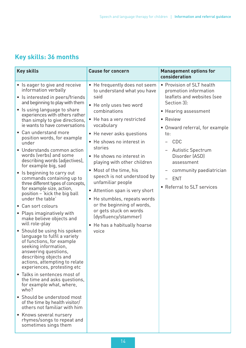### **Key skills: 36 months**

| <b>Key skills</b>                                                                                                                                                                                                                                                                                                                                                                                                                                                                                                                                                                                                                                                                                                                                                                                                                                                                                                                                                                                                                                                                                                                                                                                                                                                           | <b>Cause for concern</b>                                                                                                                                                                                                                                                                                                                                                                                                                                                                                                                                               | <b>Management options for</b><br>consideration                                                                                                                                                                                                                                                                    |
|-----------------------------------------------------------------------------------------------------------------------------------------------------------------------------------------------------------------------------------------------------------------------------------------------------------------------------------------------------------------------------------------------------------------------------------------------------------------------------------------------------------------------------------------------------------------------------------------------------------------------------------------------------------------------------------------------------------------------------------------------------------------------------------------------------------------------------------------------------------------------------------------------------------------------------------------------------------------------------------------------------------------------------------------------------------------------------------------------------------------------------------------------------------------------------------------------------------------------------------------------------------------------------|------------------------------------------------------------------------------------------------------------------------------------------------------------------------------------------------------------------------------------------------------------------------------------------------------------------------------------------------------------------------------------------------------------------------------------------------------------------------------------------------------------------------------------------------------------------------|-------------------------------------------------------------------------------------------------------------------------------------------------------------------------------------------------------------------------------------------------------------------------------------------------------------------|
| • Is eager to give and receive<br>information verbally<br>• Is interested in peers/friends<br>and beginning to play with them<br>• Is using language to share<br>experiences with others rather<br>than simply to give directions,<br>ie wants to have conversations<br>• Can understand more<br>position words, for example<br>under<br>• Understands common action<br>words (verbs) and some<br>describing words (adjectives),<br>for example big, sad<br>• Is beginning to carry out<br>commands containing up to<br>three different types of concepts,<br>for example size, action,<br>position – 'kick the big ball<br>under the table'<br>• Can sort colours<br>• Plays imaginatively with<br>make believe objects and<br>will role-play<br>• Should be using his spoken<br>language to fulfil a variety<br>of functions, for example<br>seeking information,<br>answering questions,<br>describing objects and<br>actions, attempting to relate<br>experiences, protesting etc<br>• Talks in sentences most of<br>the time and asks questions,<br>for example what, where,<br>who?<br>• Should be understood most<br>of the time by health visitor/<br>others not familiar with him<br>• Knows several nursery<br>rhymes/songs to repeat and<br>sometimes sings them | • He frequently does not seem<br>to understand what you have<br>said<br>• He only uses two word<br>combinations<br>• He has a very restricted<br>vocabulary<br>• He never asks questions<br>• He shows no interest in<br>stories<br>• He shows no interest in<br>playing with other children<br>• Most of the time, his<br>speech is not understood by<br>unfamiliar people<br>• Attention span is very short<br>• He stumbles, repeats words<br>or the beginning of words,<br>or gets stuck on words<br>(dysfluency/stammer)<br>• He has a habitually hoarse<br>voice | • Provision of SLT health<br>promotion information<br>leaflets and websites (see<br>Section 3):<br>• Hearing assessment<br>• Review<br>• Onward referral, for example<br>to:<br>CDC<br><b>Autistic Spectrum</b><br>Disorder (ASD)<br>assessment<br>community paediatrician<br>- ENT<br>• Referral to SLT services |
|                                                                                                                                                                                                                                                                                                                                                                                                                                                                                                                                                                                                                                                                                                                                                                                                                                                                                                                                                                                                                                                                                                                                                                                                                                                                             |                                                                                                                                                                                                                                                                                                                                                                                                                                                                                                                                                                        |                                                                                                                                                                                                                                                                                                                   |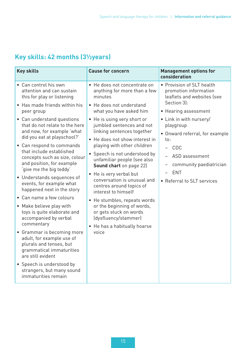### **Key skills: 42 months (3½years)**

| <b>Key skills</b>                                                                                                                                                                                                                                                                                                                                                                                                                                                                                                                                                                                                                                                                                                                                                                                                                                            | <b>Cause for concern</b>                                                                                                                                                                                                                                                                                                                                                                                                                                                                                                                                                                                                                                          | <b>Management options for</b><br>consideration                                                                                                                                                                                                                                                      |
|--------------------------------------------------------------------------------------------------------------------------------------------------------------------------------------------------------------------------------------------------------------------------------------------------------------------------------------------------------------------------------------------------------------------------------------------------------------------------------------------------------------------------------------------------------------------------------------------------------------------------------------------------------------------------------------------------------------------------------------------------------------------------------------------------------------------------------------------------------------|-------------------------------------------------------------------------------------------------------------------------------------------------------------------------------------------------------------------------------------------------------------------------------------------------------------------------------------------------------------------------------------------------------------------------------------------------------------------------------------------------------------------------------------------------------------------------------------------------------------------------------------------------------------------|-----------------------------------------------------------------------------------------------------------------------------------------------------------------------------------------------------------------------------------------------------------------------------------------------------|
| • Can control his own<br>attention and can sustain<br>this for play or listening<br>• Has made friends within his<br>peer group<br>• Can understand questions<br>that do not relate to the here<br>and now, for example 'what<br>did you eat at playschool?'<br>• Can respond to commands<br>that include established<br>concepts such as size, colour<br>and position, for example<br>'give me the big teddy'<br>• Understands sequences of<br>events, for example what<br>happened next in the story<br>• Can name a few colours<br>• Make believe play with<br>toys is quite elaborate and<br>accompanied by verbal<br>commentary<br>• Grammar is becoming more<br>adult, for example use of<br>plurals and tenses, but<br>grammatical immaturities<br>are still evident<br>• Speech is understood by<br>strangers, but many sound<br>immaturities remain | He does not concentrate on<br>anything for more than a few<br>minutes<br>• He does not understand<br>what you have asked him<br>• He is using very short or<br>jumbled sentences and not<br>linking sentences together<br>• He does not show interest in<br>playing with other children<br>• Speech is not understood by<br>unfamiliar people (see also<br>Sound chart on page 22)<br>• He is very verbal but<br>conversation is unusual and<br>centres around topics of<br>interest to himself<br>He stumbles, repeats words<br>$\bullet$<br>or the beginning of words,<br>or gets stuck on words<br>(dysfluency/stammer)<br>He has a habitually hoarse<br>voice | • Provision of SLT health<br>promotion information<br>leaflets and websites (see<br>Section 3):<br>• Hearing assessment<br>• Link in with nursery/<br>playgroup<br>• Onward referral, for example<br>to:<br>- CDC<br>ASD assessment<br>community paediatrician<br>ENT<br>• Referral to SLT services |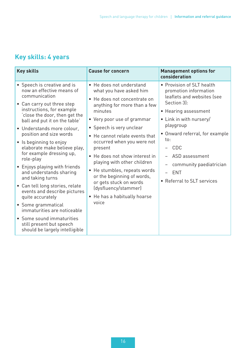### **Key skills: 4 years**

| <b>Key skills</b>                                                                                                                                                                                                                                                                                                                                                                                                                                                                                                                                                                                                                                                                         | <b>Cause for concern</b>                                                                                                                                                                                                                                                                                                                                                                                                                                                                      | <b>Management options for</b><br>consideration                                                                                                                                                                                                                                                        |
|-------------------------------------------------------------------------------------------------------------------------------------------------------------------------------------------------------------------------------------------------------------------------------------------------------------------------------------------------------------------------------------------------------------------------------------------------------------------------------------------------------------------------------------------------------------------------------------------------------------------------------------------------------------------------------------------|-----------------------------------------------------------------------------------------------------------------------------------------------------------------------------------------------------------------------------------------------------------------------------------------------------------------------------------------------------------------------------------------------------------------------------------------------------------------------------------------------|-------------------------------------------------------------------------------------------------------------------------------------------------------------------------------------------------------------------------------------------------------------------------------------------------------|
| • Speech is creative and is<br>now an effective means of<br>communication<br>• Can carry out three step<br>instructions, for example<br>close the door, then get the<br>ball and put it on the table'<br>• Understands more colour,<br>position and size words<br>• Is beginning to enjoy<br>elaborate make believe play,<br>for example dressing up,<br>role-play<br>• Enjoys playing with friends<br>and understands sharing<br>and taking turns<br>• Can tell long stories, relate<br>events and describe pictures<br>quite accurately<br>• Some grammatical<br>immaturities are noticeable<br>• Some sound immaturities<br>still present but speech<br>should be largely intelligible | • He does not understand<br>what you have asked him<br>• He does not concentrate on<br>anything for more than a few<br>minutes<br>• Very poor use of grammar<br>• Speech is very unclear<br>• He cannot relate events that<br>occurred when you were not<br>present<br>• He does not show interest in<br>playing with other children<br>• He stumbles, repeats words<br>or the beginning of words,<br>or gets stuck on words<br>(dysfluency/stammer)<br>• He has a habitually hoarse<br>voice | • Provision of SLT health<br>promotion information<br>leaflets and websites (see<br>Section 3):<br>• Hearing assessment<br>• Link in with nursery/<br>playgroup<br>• Onward referral, for example<br>to:<br>- CDC<br>ASD assessment<br>community paediatrician<br>- ENT<br>• Referral to SLT services |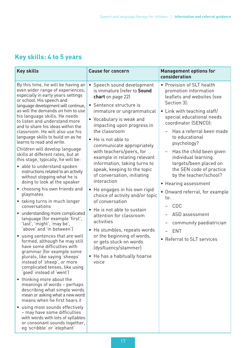### **Key skills: 4 to 5 years**

| <b>Key skills</b>                                                                                                                                                                                                                                                                                                                                                                                                                                                                                                                                                                                                                                                                                                                                                                                                                                                                                                                                                                                                                                                                                                                                                                                                                                                                                                                                                                                                                                                                                                          | <b>Cause for concern</b>                                                                                                                                                                                                                                                                                                                                                                                                                                                                                                                                                                                                                                                                                                                                                      | <b>Management options for</b><br>consideration                                                                                                                                                                                                                                                                                                                                                                                                                                                                                                |
|----------------------------------------------------------------------------------------------------------------------------------------------------------------------------------------------------------------------------------------------------------------------------------------------------------------------------------------------------------------------------------------------------------------------------------------------------------------------------------------------------------------------------------------------------------------------------------------------------------------------------------------------------------------------------------------------------------------------------------------------------------------------------------------------------------------------------------------------------------------------------------------------------------------------------------------------------------------------------------------------------------------------------------------------------------------------------------------------------------------------------------------------------------------------------------------------------------------------------------------------------------------------------------------------------------------------------------------------------------------------------------------------------------------------------------------------------------------------------------------------------------------------------|-------------------------------------------------------------------------------------------------------------------------------------------------------------------------------------------------------------------------------------------------------------------------------------------------------------------------------------------------------------------------------------------------------------------------------------------------------------------------------------------------------------------------------------------------------------------------------------------------------------------------------------------------------------------------------------------------------------------------------------------------------------------------------|-----------------------------------------------------------------------------------------------------------------------------------------------------------------------------------------------------------------------------------------------------------------------------------------------------------------------------------------------------------------------------------------------------------------------------------------------------------------------------------------------------------------------------------------------|
| By this time, he will be having an<br>even wider range of experiences,<br>especially in early years settings<br>or school. His speech and<br>language development will continue,<br>as will the demands on him to use<br>his language skills. He needs<br>to listen and understand more<br>and to share his ideas within the<br>classroom. He will also use his<br>language skills to build on as he<br>learns to read and write.<br>Children will develop language<br>skills at different rates, but at<br>this stage, typically, he will be:<br>• able to understand spoken<br>instructions related to an activity<br>without stopping what he is<br>doing to look at the speaker<br>• choosing his own friends and<br>playmates<br>• taking turns in much longer<br>conversations<br>• understanding more complicated<br>language (for example 'first',<br>'last', 'might', 'may be',<br>'above' and 'in between')<br>• using sentences that are well<br>formed, although he may still<br>have some difficulties with<br>grammar (for example some<br>plurals, like saying 'sheeps'<br>instead of 'sheep', or more<br>complicated tenses, like using<br>'goed' instead of 'went')<br>• thinking more about the<br>meanings of words - perhaps<br>describing what simple words<br>mean or asking what a new word<br>means when he first hears it<br>• using most sounds effectively<br>- may have some difficulties<br>with words with lots of syllables<br>or consonant sounds together,<br>eg 'scribble' or 'elephant' | • Speech sound development<br>is immature (refer to Sound<br><b>chart</b> on page 22)<br>• Sentence structure is<br>immature or ungrammatical<br>• Vocabulary is weak and<br>impacting upon progress in<br>the classroom<br>• He is not able to<br>communicate appropriately<br>with teachers/peers, for<br>example in relating relevant<br>information, taking turns to<br>speak, keeping to the topic<br>of conversation, initiating<br>interaction<br>• He engages in his own rigid<br>choice of activity and/or topic<br>of conversation<br>• He is not able to sustain<br>attention for classroom<br>activities<br>• He stumbles, repeats words<br>or the beginning of words,<br>or gets stuck on words<br>(dysfluency/stammer)<br>• He has a habitually hoarse<br>voice | • Provision of SLT health<br>promotion information<br>leaflets and websites (see<br>Section 3):<br>• Link with teaching staff/<br>special educational needs<br>coordinator (SENCO):<br>Has a referral been made<br>to educational<br>psychology?<br>Has the child been given<br>individual learning<br>targets/been placed on<br>the SEN code of practice<br>by the teacher/school?<br>• Hearing assessment<br>• Onward referral, for example<br>to:<br>CDC<br>ASD assessment<br>community paediatrician<br>ENT<br>• Referral to SLT services |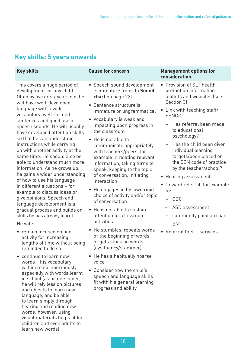### **Key skills: 5 years onwards**

| <b>Key skills</b>                                                                                                                                                                                                                                                                                                                                                                                                                                                                                                                                                                                                                                                                                                                                                                                                                                                                                                                                                                                                                                                                                                                                                                                                                                                              | <b>Cause for concern</b>                                                                                                                                                                                                                                                                                                                                                                                                                                                                                                                                                                                                                                                                                                                                                                                                                                                                | <b>Management options for</b><br>consideration                                                                                                                                                                                                                                                                                                                                                                                                                                                         |
|--------------------------------------------------------------------------------------------------------------------------------------------------------------------------------------------------------------------------------------------------------------------------------------------------------------------------------------------------------------------------------------------------------------------------------------------------------------------------------------------------------------------------------------------------------------------------------------------------------------------------------------------------------------------------------------------------------------------------------------------------------------------------------------------------------------------------------------------------------------------------------------------------------------------------------------------------------------------------------------------------------------------------------------------------------------------------------------------------------------------------------------------------------------------------------------------------------------------------------------------------------------------------------|-----------------------------------------------------------------------------------------------------------------------------------------------------------------------------------------------------------------------------------------------------------------------------------------------------------------------------------------------------------------------------------------------------------------------------------------------------------------------------------------------------------------------------------------------------------------------------------------------------------------------------------------------------------------------------------------------------------------------------------------------------------------------------------------------------------------------------------------------------------------------------------------|--------------------------------------------------------------------------------------------------------------------------------------------------------------------------------------------------------------------------------------------------------------------------------------------------------------------------------------------------------------------------------------------------------------------------------------------------------------------------------------------------------|
| This covers a huge period of<br>development for any child.<br>Often by five or six years old, he<br>will have well-developed<br>language with a wide<br>vocabulary, well-formed<br>sentences and good use of<br>speech sounds. He will usually<br>have developed attention skills<br>so that he can understand<br>instructions while carrying<br>on with another activity at the<br>same time. He should also be<br>able to understand much more<br>information. As he grows up,<br>he gains a wider understanding<br>of how to use his language<br>in different situations - for<br>example to discuss ideas or<br>give opinions. Speech and<br>language development is a<br>gradual process and builds on<br>skills he has already learnt.<br>He will:<br>• remain focused on one<br>activity for increasing<br>lengths of time without being<br>reminded to do so<br>• continue to learn new<br>words - his vocabulary<br>will increase enormously,<br>especially with words learnt<br>in school (as he gets older,<br>he will rely less on pictures<br>and objects to learn new<br>language, and be able<br>to learn simply through<br>hearing and reading new<br>words; however, using<br>visual materials helps older<br>children and even adults to<br>learn new words) | • Speech sound development<br>is immature (refer to Sound<br>chart on page 22)<br>• Sentence structure is<br>immature or ungrammatical<br>• Vocabulary is weak and<br>impacting upon progress in<br>the classroom<br>• He is not able to<br>communicate appropriately<br>with teachers/peers, for<br>example in relating relevant<br>information, taking turns to<br>speak, keeping to the topic<br>of conversation, initiating<br>interaction<br>He engages in his own rigid<br>choice of activity and/or topic<br>of conversation<br>• He is not able to sustain<br>attention for classroom<br>activities<br>He stumbles, repeats words<br>or the beginning of words,<br>or gets stuck on words<br>(dysfluency/stammer)<br>• He has a habitually hoarse<br>voice<br>• Consider how the child's<br>speech and language skills<br>fit with his general learning<br>progress and ability | • Provision of SLT health<br>promotion information<br>leaflets and websites (see<br>Section 3)<br>• Link with teaching staff/<br>SENCO:<br>Has referral been made<br>to educational<br>psychology?<br>Has the child been given<br>individual learning<br>targets/been placed on<br>the SEN code of practice<br>by the teacher/school?<br>• Hearing assessment<br>• Onward referral, for example<br>to:<br>CDC<br>ASD assessment<br>community paediatrician<br><b>ENT</b><br>• Referral to SLT services |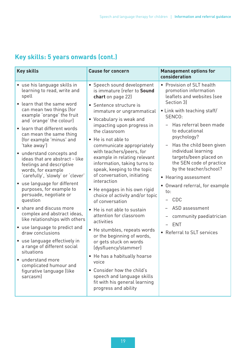### **Key skills: 5 years onwards (cont.)**

| <b>Key skills</b>                                                                                                                                                                                                                                                                                                                                                                                                                                                                                                                                                                                                                                                                                                                                                                                                                                                               | <b>Cause for concern</b>                                                                                                                                                                                                                                                                                                                                                                                                                                                                                                                                                                                                                                                                                                                                                                                                                                                                    | <b>Management options for</b><br>consideration                                                                                                                                                                                                                                                                                                                                                                                                                                                         |
|---------------------------------------------------------------------------------------------------------------------------------------------------------------------------------------------------------------------------------------------------------------------------------------------------------------------------------------------------------------------------------------------------------------------------------------------------------------------------------------------------------------------------------------------------------------------------------------------------------------------------------------------------------------------------------------------------------------------------------------------------------------------------------------------------------------------------------------------------------------------------------|---------------------------------------------------------------------------------------------------------------------------------------------------------------------------------------------------------------------------------------------------------------------------------------------------------------------------------------------------------------------------------------------------------------------------------------------------------------------------------------------------------------------------------------------------------------------------------------------------------------------------------------------------------------------------------------------------------------------------------------------------------------------------------------------------------------------------------------------------------------------------------------------|--------------------------------------------------------------------------------------------------------------------------------------------------------------------------------------------------------------------------------------------------------------------------------------------------------------------------------------------------------------------------------------------------------------------------------------------------------------------------------------------------------|
| • use his language skills in<br>learning to read, write and<br>spell<br>• learn that the same word<br>can mean two things (for<br>example 'orange' the fruit<br>and 'orange' the colour)<br>• learn that different words<br>can mean the same thing<br>(for example 'minus' and<br>'take away')<br>• understand concepts and<br>ideas that are abstract - like<br>feelings and descriptive<br>words, for example<br>'carefully', 'slowly' or 'clever'<br>• use language for different<br>purposes, for example to<br>persuade, negotiate or<br>question<br>• share and discuss more<br>complex and abstract ideas,<br>like relationships with others<br>• use language to predict and<br>draw conclusions<br>• use language effectively in<br>a range of different social<br>situations<br>• understand more<br>complicated humour and<br>figurative language (like<br>sarcasml | • Speech sound development<br>is immature (refer to Sound<br>chart on page 22)<br>• Sentence structure is<br>immature or ungrammatical<br>• Vocabulary is weak and<br>impacting upon progress in<br>the classroom<br>• He is not able to<br>communicate appropriately<br>with teachers/peers, for<br>example in relating relevant<br>information, taking turns to<br>speak, keeping to the topic<br>of conversation, initiating<br>interaction<br>• He engages in his own rigid<br>choice of activity and/or topic<br>of conversation<br>• He is not able to sustain<br>attention for classroom<br>activities<br>• He stumbles, repeats words<br>or the beginning of words,<br>or gets stuck on words<br>(dysfluency/stammer)<br>• He has a habitually hoarse<br>voice<br>• Consider how the child's<br>speech and language skills<br>fit with his general learning<br>progress and ability | • Provision of SLT health<br>promotion information<br>leaflets and websites (see<br>Section 3)<br>• Link with teaching staff/<br>SENCO:<br>Has referral been made<br>to educational<br>psychology?<br>Has the child been given<br>individual learning<br>targets/been placed on<br>the SEN code of practice<br>by the teacher/school?<br>• Hearing assessment<br>• Onward referral, for example<br>to:<br>CDC<br>ASD assessment<br>community paediatrician<br><b>ENT</b><br>• Referral to SLT services |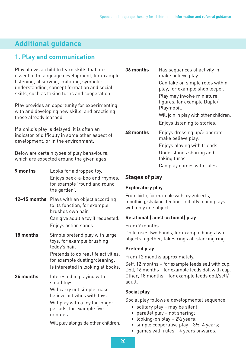### **Additional guidance**

### **1. Play and communication**

Play allows a child to learn skills that are essential to language development, for example listening, observing, imitating, symbolic understanding, concept formation and social skills, such as taking turns and cooperation.

Play provides an opportunity for experimenting with and developing new skills, and practising those already learned.

If a child's play is delayed, it is often an indicator of difficulty in some other aspect of development, or in the environment.

Below are certain types of play behaviours, which are expected around the given ages.

- **9 months** Looks for a dropped toy. Enjoys peek-a-boo and rhymes, for example 'round and round the garden'.
- **12–15 months** Plays with an object according to its function, for example brushes own hair. Can give adult a toy if requested. Enjoys action songs.
- **18 months** Simple pretend play with large toys, for example brushing teddy's hair. Pretends to do real life activities,

for example dusting/cleaning. Is interested in looking at books.

**24 months** Interested in playing with small toys. Will carry out simple make believe activities with toys. Will play with a toy for longer periods, for example five minutes.

Will play alongside other children.

| 36 months | Has sequences of activity in                                                                                                                |
|-----------|---------------------------------------------------------------------------------------------------------------------------------------------|
|           | make believe play.                                                                                                                          |
|           | Can take on simple roles within<br>play, for example shopkeeper.<br>Play may involve miniature<br>figures, for example Duplo/<br>Playmobil. |
|           | Will join in play with other children.                                                                                                      |
|           | Enjoys listening to stories.                                                                                                                |
| 48 months | Enjoys dressing up/elaborate<br>make believe play.                                                                                          |
|           | Enjoys playing with friends.                                                                                                                |
|           | Understands sharing and<br>taking turns.                                                                                                    |
|           | Can play games with rules.                                                                                                                  |

### **Stages of play**

### **Exploratory play**

From birth, for example with toys/objects, mouthing, shaking, feeling. Initially, child plays with only one object.

### **Relational (constructional) play**

From 9 months.

Child uses two hands, for example bangs two objects together, takes rings off stacking ring.

### **Pretend play**

From 12 months approximately.

Self, 12 months – for example feeds self with cup. Doll, 16 months – for example feeds doll with cup. Other, 18 months – for example feeds doll/self/ adult.

### **Social play**

Social play follows a developmental sequence:

- solitary play may be silent;
- parallel play not sharing;
- looking-on play 2½ years;
- simple cooperative play  $3\frac{1}{2}$ -4 years;
- games with rules 4 years onwards.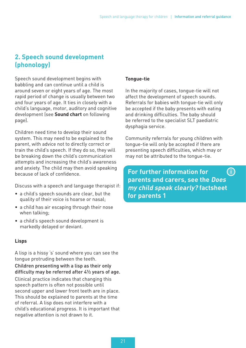### **2. Speech sound development (phonology)**

Speech sound development begins with babbling and can continue until a child is around seven or eight years of age. The most rapid period of change is usually between two and four years of age. It ties in closely with a child's language, motor, auditory and cognitive development (see **Sound chart** on following page).

Children need time to develop their sound system. This may need to be explained to the parent, with advice not to directly correct or train the child's speech. If they do so, they will be breaking down the child's communication attempts and increasing the child's awareness and anxiety. The child may then avoid speaking because of lack of confidence.

Discuss with a speech and language therapist if:

- a child's speech sounds are clear, but the quality of their voice is hoarse or nasal;
- a child has air escaping through their nose when talking;
- a child's speech sound development is markedly delayed or deviant.

#### **Lisps**

A lisp is a hissy 's' sound where you can see the tongue protruding between the teeth.

Children presenting with a lisp as their only difficulty may be referred after 4½ years of age. Clinical practice indicates that changing this speech pattern is often not possible until second upper and lower front teeth are in place. This should be explained to parents at the time of referral. A lisp does not interfere with a child's educational progress. It is important that negative attention is not drawn to it.

#### **Tongue-tie**

In the majority of cases, tongue-tie will not affect the development of speech sounds. Referrals for babies with tongue-tie will only be accepted if the baby presents with eating and drinking difficulties. The baby should be referred to the specialist SLT paediatric dysphagia service.

Community referrals for young children with tongue-tie will only be accepted if there are presenting speech difficulties, which may or may not be attributed to the tongue-tie.

**For further information for parents and carers, see the Does my child speak clearly? factsheet for parents 1 i**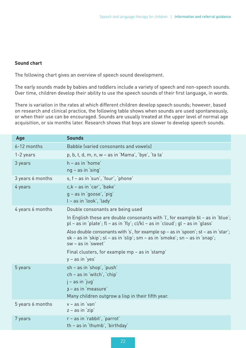#### **Sound chart**

The following chart gives an overview of speech sound development.

The early sounds made by babies and toddlers include a variety of speech and non-speech sounds. Over time, children develop their ability to use the speech sounds of their first language, in words.

There is variation in the rates at which different children develop speech sounds; however, based on research and clinical practice, the following table shows when sounds are used spontaneously, or when their use can be encouraged. Sounds are usually treated at the upper level of normal age acquisition, or six months later. Research shows that boys are slower to develop speech sounds.

| Age              | <b>Sounds</b>                                                                                                                                                                               |
|------------------|---------------------------------------------------------------------------------------------------------------------------------------------------------------------------------------------|
| 6-12 months      | Babble (varied consonants and vowels)                                                                                                                                                       |
| 1-2 years        | p, b, t, d, m, n, w – as in 'Mama', 'bye', 'ta ta'                                                                                                                                          |
| 3 years          | h - as in 'home'<br>$ng - as in 'sing'$                                                                                                                                                     |
| 3 years 6 months | s, f - as in 'sun', 'four', 'phone'                                                                                                                                                         |
| 4 years          | $c, k - as in 'car', 'bake'$<br>g - as in 'goose', 'pig'<br>l – as in 'look', 'lady'                                                                                                        |
| 4 years 6 months | Double consonants are being used                                                                                                                                                            |
|                  | In English these are double consonants with 'l', for example bl - as in 'blue';<br>pl – as in 'plate'; fl – as in 'fly'; cl/kl – as in 'cloud'; gl – as in 'glass'                          |
|                  | Also double consonants with 's', for example $sp - as$ in 'spoon'; st - as in 'star';<br>sk – as in 'skip'; sl – as in 'slip'; sm – as in 'smoke'; sn – as in 'snap';<br>sw - as in 'sweet' |
|                  | Final clusters, for example mp - as in 'stamp'<br>$y - as in 'yes'$                                                                                                                         |
| 5 years          | sh - as in 'shop', 'push'<br>ch - as in 'witch', 'chip'<br>$i - as in 'jug'$<br>$\bar{z}$ – as in 'measure'<br>Many children outgrow a lisp in their fifth year.                            |
| 5 years 6 months | $v - as in 'van'$<br>$z - as in 'zip'$                                                                                                                                                      |
| 7 years          | r - as in 'rabbit', 'parrot'<br>th - as in 'thumb', 'birthday'                                                                                                                              |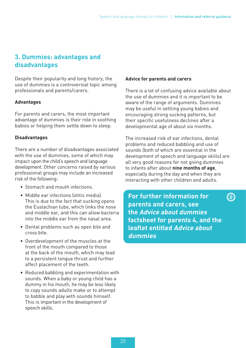### **3. Dummies: advantages and disadvantages**

Despite their popularity and long history, the use of dummies is a controversial topic among professionals and parents/carers.

#### **Advantages**

For parents and carers, the most important advantage of dummies is their role in soothing babies or helping them settle down to sleep.

#### **Disadvantages**

There are a number of disadvantages associated with the use of dummies, some of which may impact upon the child's speech and language development. Other concerns raised by various professional groups may include an increased risk of the following:

- Stomach and mouth infections.
- Middle ear infections (otitis media). This is due to the fact that sucking opens the Eustachian tube, which links the nose and middle ear, and this can allow bacteria into the middle ear from the nasal area.
- Dental problems such as open bite and cross bite.
- Overdevelopment of the muscles at the front of the mouth compared to those at the back of the mouth, which may lead to a persistent tongue thrust and further affect placement of the teeth.
- Reduced babbling and experimentation with sounds. When a baby or young child has a dummy in his mouth, he may be less likely to copy sounds adults make or to attempt to babble and play with sounds himself. This is important in the development of speech skills.

#### **Advice for parents and carers**

There is a lot of confusing advice available about the use of dummies and it is important to be aware of the range of arguments. Dummies may be useful in settling young babies and encouraging strong sucking patterns, but their specific usefulness declines after a developmental age of about six months.

The increased risk of ear infections, dental problems and reduced babbling and use of sounds (both of which are essential in the development of speech and language skills) are all very good reasons for not giving dummies to infants after about **nine months of age**, especially during the day and when they are interacting with other children and adults.

**For further information for parents and carers, see the Advice about dummies factsheet for parents 4, and the leaflet entitled Advice about dummies**

**i**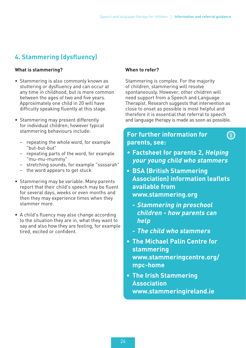### **4. Stammering (dysfluency)**

#### **What is stammering?**

- Stammering is also commonly known as stuttering or dysfluency and can occur at any time in childhood, but is more common between the ages of two and five years. Approximately one child in 20 will have difficulty speaking fluently at this stage.
- Stammering may present differently for individual children; however typical stammering behaviours include:
	- repeating the whole word, for example "but-but-but"
	- repeating parts of the word, for example "mu-mu-mummy"
	- stretching sounds, for example "ssssarah"
	- the word appears to get stuck
- Stammering may be variable. Many parents report that their child's speech may be fluent for several days, weeks or even months and then they may experience times when they stammer more.
- A child's fluency may also change according to the situation they are in, what they want to say and also how they are feeling, for example tired, excited or confident.

#### **When to refer?**

Stammering is complex. For the majority of children, stammering will resolve spontaneously. However, other children will need support from a Speech and Language Therapist. Research suggests that intervention as close to onset as possible is most helpful and therefore it is essential that referral to speech and language therapy is made as soon as possible.

### **For further information for parents, see:**

**• Factsheet for parents 2, Helping your young child who stammers**

**i**

- **• BSA (British Stammering Association) information leaflets available from www.stammering.org**
	- **- Stammering in preschool children - how parents can help**
	- **- The child who stammers**
- **• The Michael Palin Centre for stammering www.stammeringcentre.org/ mpc-home**
- **• The Irish Stammering Association www.stammeringireland.ie**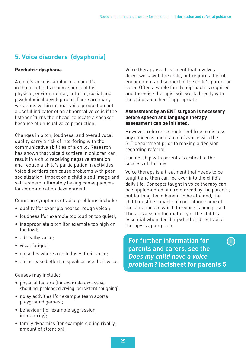### **5. Voice disorders (dysphonia)**

#### **Paediatric dysphonia**

A child's voice is similar to an adult's in that it reflects many aspects of his physical, environmental, cultural, social and psychological development. There are many variations within normal voice production but a useful indicator of an abnormal voice is if the listener 'turns their head' to locate a speaker because of unusual voice production.

Changes in pitch, loudness, and overall vocal quality carry a risk of interfering with the communicative abilities of a child. Research has shown that voice disorders in children can result in a child receiving negative attention and reduce a child's participation in activities. Voice disorders can cause problems with peer socialisation, impact on a child's self image and self-esteem, ultimately having consequences for communication development.

Common symptoms of voice problems include:

- quality (for example hoarse, rough voice);
- loudness (for example too loud or too quiet);
- inappropriate pitch (for example too high or too low);
- a breathy voice:
- vocal fatigue;
- episodes where a child loses their voice;
- an increased effort to speak or use their voice.

Causes may include:

- physical factors (for example excessive shouting, prolonged crying, persistent coughing);
- noisy activities (for example team sports, playground games);
- behaviour (for example aggression, immaturity);
- family dynamics (for example sibling rivalry, amount of attention).

Voice therapy is a treatment that involves direct work with the child, but requires the full engagement and support of the child's parent or carer. Often a whole family approach is required and the voice therapist will work directly with the child's teacher if appropriate.

#### **Assessment by an ENT surgeon is necessary before speech and language therapy assessment can be initiated.**

However, referrers should feel free to discuss any concerns about a child's voice with the SLT department prior to making a decision regarding referral.

Partnership with parents is critical to the success of therapy.

Voice therapy is a treatment that needs to be taught and then carried over into the child's daily life. Concepts taught in voice therapy can be supplemented and reinforced by the parents, but for long-term benefit to be attained, the child must be capable of controlling some of the situations in which the voice is being used. Thus, assessing the maturity of the child is essential when deciding whether direct voice therapy is appropriate.

**For further information for parents and carers, see the Does my child have a voice problem? factsheet for parents 5 i**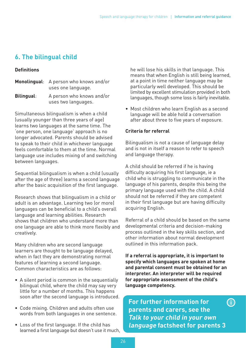### **6. The bilingual child**

#### **Definitions**

|                  | <b>Monolingual</b> : A person who knows and/or |
|------------------|------------------------------------------------|
|                  | uses one language.                             |
| <b>Rilingual</b> | $\Delta$ nerson who knows and/or               |

**Bilingual**: A person who knows and/or uses two languages.

Simultaneous bilingualism is when a child (usually younger than three years of age) learns two languages at the same time. The 'one person, one language' approach is no longer advocated. Parents should be advised to speak to their child in whichever language feels comfortable to them at the time. Normal language use includes mixing of and switching between languages.

Sequential bilingualism is when a child (usually after the age of three) learns a second language after the basic acquisition of the first language.

Research shows that bilingualism in a child or adult is an advantage. Learning two (or more) languages can be beneficial to a child's overall language and learning abilities. Research shows that children who understand more than one language are able to think more flexibly and creatively.

Many children who are second language learners are thought to be language delayed, when in fact they are demonstrating normal features of learning a second language. Common characteristics are as follows:

- A silent period is common in the sequentially bilingual child, where the child may say very little for a number of months. This happens soon after the second language is introduced.
- Code mixing. Children and adults often use words from both languages in one sentence.
- Loss of the first language. If the child has learned a first language but doesn't use it much,

he will lose his skills in that language. This means that when English is still being learned, at a point in time neither language may be particularly well developed. This should be limited by excellent stimulation provided in both languages, though some loss is fairly inevitable.

• Most children who learn English as a second language will be able hold a conversation after about three to five years of exposure.

### **Criteria for referral**

Bilingualism is not a cause of language delay and is not in itself a reason to refer to speech and language therapy.

A child should be referred if he is having difficulty acquiring his first language, ie a child who is struggling to communicate in the language of his parents, despite this being the primary language used with the child. A child should not be referred if they are competent in their first language but are having difficulty acquiring English.

Referral of a child should be based on the same developmental criteria and decision-making process outlined in the key skills section, and other information about normal development outlined in this information pack.

**If a referral is appropriate, it is important to specify which languages are spoken at home and parental consent must be obtained for an interpreter. An interpreter will be required for appropriate assessment of the child's language competency.**

**For further information for parents and carers, see the Talk to your child in your own language factsheet for parents 3**

**i**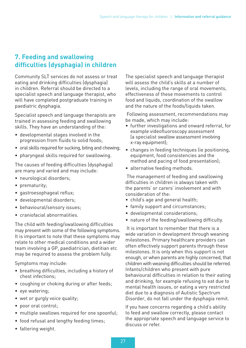### **7. Feeding and swallowing difficulties (dysphagia) in children**

Community SLT services do not assess or treat eating and drinking difficulties (dysphagia) in children. Referral should be directed to a specialist speech and language therapist, who will have completed postgraduate training in paediatric dysphagia.

Specialist speech and language therapists are trained in assessing feeding and swallowing skills. They have an understanding of the:

- developmental stages involved in the progression from fluids to solid foods;
- oral skills required for sucking, biting and chewing;
- pharyngeal skills required for swallowing.

The causes of feeding difficulties (dysphagia) are many and varied and may include:

- neurological disorders;
- prematurity;
- gastroesophageal reflux;
- developmental disorders;
- behavioural/sensory issues;
- craniofacial abnormalities.

The child with feeding/swallowing difficulties may present with some of the following symptoms. It is important to note that these symptoms may relate to other medical conditions and a wider team involving a GP, paediatrician, dietitian etc may be required to assess the problem fully.

Symptoms may include:

- breathing difficulties, including a history of chest infections;
- coughing or choking during or after feeds;
- eye watering;
- wet or gurgly voice quality;
- poor oral control;
- multiple swallows required for one spoonful;
- food refusal and lengthy feeding times;
- faltering weight.

The specialist speech and language therapist will assess the child's skills at a number of levels, including the range of oral movements, effectiveness of these movements to control food and liquids, coordination of the swallow and the nature of the foods/liquids taken.

Following assessment, recommendations may be made, which may include:

- further investigations and onward referral, for example videofluoroscopy assessment (a specialist swallow assessment involving x-ray equipment);
- changes in feeding techniques (ie positioning, equipment, food consistencies and the method and pacing of food presentation);
- alternative feeding methods.

The management of feeding and swallowing difficulties in children is always taken with the parents' or carers' involvement and with consideration of the:

- child's age and general health;
- family support and circumstances;
- developmental considerations;
- nature of the feeding/swallowing difficulty.

It is important to remember that there is a wide variation in development through weaning milestones. Primary healthcare providers can often effectively support parents through these milestones. It is only when this support is not enough, or when parents are highly concerned, that children with weaning difficulties should be referred. Infants/children who present with pure behavioural difficulties in relation to their eating and drinking, for example refusing to eat due to mental health issues, or eating a very restricted diet due to a diagnosis of Autistic Spectrum Disorder, do not fall under the dysphagia remit.

If you have concerns regarding a child's ability to feed and swallow correctly, please contact the appropriate speech and language service to discuss or refer.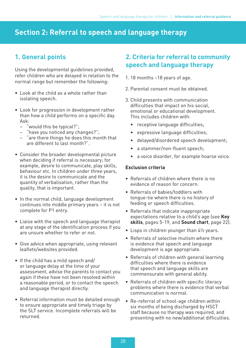### **Section 2: Referral to speech and language therapy**

Using the developmental guidelines provided, refer children who are delayed in relation to the normal range but remember the following:

- Look at the child as a whole rather than isolating speech.
- Look for progression in development rather than how a child performs on a specific day. Ask:
	- "would this be typical?";
	- "have you noticed any changes?";
	- "are there things he does this month that are different to last month?".
- Consider the broader developmental picture when deciding if referral is necessary; for example, desire to communicate, play skills, behaviour etc. In children under three years, it is the desire to communicate and the quantity of verbalisation, rather than the quality, that is important.
- In the normal child, language development continues into middle primary years – it is not complete for P1 entry.
- Liaise with the speech and language therapist at any stage of the identification process if you are unsure whether to refer or not.
- Give advice when appropriate, using relevant leaflets/websites provided.
- If the child has a mild speech and/ or language delay at the time of your assessment, advise the parents to contact you again if these have not been resolved within a reasonable period, or to contact the speech and language therapist directly.
- Referral information must be detailed enough to ensure appropriate and timely triage by the SLT service. Incomplete referrals will be returned.

### **1. General points 2. Criteria for referral to community speech and language therapy**

- 1. 18 months –18 years of age.
- 2. Parental consent must be obtained.
- 3. Child presents with communication difficulties that impact on his social, emotional or educational development. This includes children with:
	- receptive language difficulties;
	- expressive language difficulties;
	- delayed/disordered speech development;
	- a stammer/non-fluent speech:
	- a voice disorder, for example hoarse voice.

### **Exclusion criteria**

- Referrals of children where there is no evidence of reason for concern.
- Referrals of babies/toddlers with tongue-tie where there is no history of feeding or speech difficulties.
- Referrals that indicate inappropriate expectations relative to a child's age (see **Key skills**, pages 5-19, and **Sound chart**, page 22).
- Lisps in children younger than 4½ years.
- Referrals of selective mutism where there is evidence that speech and language development is age appropriate.
- Referrals of children with general learning difficulties where there is evidence that speech and language skills are commensurate with general ability.
- Referrals of children with specific literacy problems where there is evidence that verbal communication is normal.
- Re-referral of school-age children within six months of being discharged by HSCT staff because no therapy was required, and presenting with no new/additional difficulties.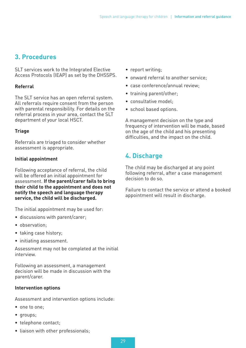### **3. Procedures**

SLT services work to the Integrated Elective Access Protocols (IEAP) as set by the DHSSPS.

### **Referral**

The SLT service has an open referral system. All referrals require consent from the person with parental responsibility. For details on the referral process in your area, contact the SLT department of your local HSCT.

### **Triage**

Referrals are triaged to consider whether assessment is appropriate.

#### **Initial appointment**

Following acceptance of referral, the child will be offered an initial appointment for assessment. **If the parent/carer fails to bring their child to the appointment and does not notify the speech and language therapy service, the child will be discharged.** 

The initial appointment may be used for:

- discussions with parent/carer;
- observation;
- taking case history;
- initiating assessment.

Assessment may not be completed at the initial interview.

Following an assessment, a management decision will be made in discussion with the parent/carer.

#### **Intervention options**

Assessment and intervention options include:

- one to one;
- groups;
- telephone contact;
- liaison with other professionals;
- report writing;
- onward referral to another service;
- case conference/annual review;
- training parent/other;
- consultative model;
- school based options.

A management decision on the type and frequency of intervention will be made, based on the age of the child and his presenting difficulties, and the impact on the child.

### **4. Discharge**

The child may be discharged at any point following referral, after a case management decision to do so.

Failure to contact the service or attend a booked appointment will result in discharge.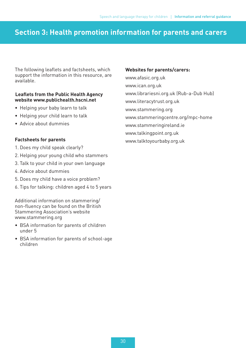### **Section 3: Health promotion information for parents and carers**

The following leaflets and factsheets, which support the information in this resource, are available.

#### **Leaflets from the Public Health Agency website www.publichealth.hscni.net**

- Helping your baby learn to talk
- Helping your child learn to talk
- Advice about dummies

#### **Factsheets for parents**

- 1. Does my child speak clearly?
- 2. Helping your young child who stammers
- 3. Talk to your child in your own language
- 4. Advice about dummies
- 5. Does my child have a voice problem?
- 6. Tips for talking: children aged 4 to 5 years

Additional information on stammering/ non-fluency can be found on the British Stammering Association's website www.stammering.org

- BSA information for parents of children under 5
- BSA information for parents of school-age children

#### **Websites for parents/carers:**

www.afasic.org.uk www.ican.org.uk www.librariesni.org.uk (Rub-a-Dub Hub) www.literacytrust.org.uk www.stammering.org www.stammeringcentre.org/mpc-home www.stammeringireland.ie www.talkingpoint.org.uk www.talktoyourbaby.org.uk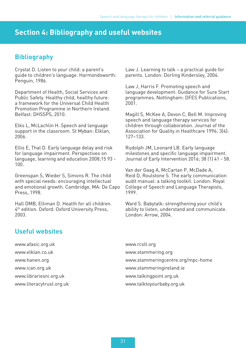### **Section 4: Bibliography and useful websites**

### **Bibliography**

Crystal D. Listen to your child: a parent's guide to children's language. Harmondsworth: Penguin, 1986.

Department of Health, Social Services and Public Safety. Healthy child, healthy future: a framework for the Universal Child Health Promotion Programme in Northern Ireland. Belfast: DHSSPS, 2010.

Elks L, McLachlin H. Speech and language support in the classroom. St Myban: Elklan, 2006.

Ellis E, Thal D. Early language delay and risk for language impairment. Perspectives on language, learning and education 2008;15 93 - 100.

Greenspan S, Wieder S, Simons R. The child with special needs: encouraging intellectual and emotional growth. Cambridge, MA: De Capo Press, 1998.

Hall DMB, Elliman D. Health for all children. 4th edition. Oxford: Oxford University Press, 2003.

### **Useful websites**

www.afasic.org.uk www.elklan.co.uk www.hanen.org www.ican.org.uk www.librariesni.org.uk www.literacytrust.org.uk Law J. Learning to talk – a practical guide for parents. London: Dorling Kindersley, 2004.

Law J, Harris F. Promoting speech and language development: Guidance for Sure Start programmes. Nottingham: DFES Publications, 2001.

Magill S, McKee A, Devon C, Bell M. Improving speech and language therapy services for children through collaboration. Journal of the Association for Quality in Healthcare 1996; 3(4): 127–133.

Rudolph JM, Leonard LB. Early language milestones and specific language impairment. Journal of Early Intervention 2016; 38 (1) 41 - 58.

Van der Gaag A, McCartan P, McDade A, Reid D, Roulstone S. The early communication audit manual: a talking toolkit. London: Royal College of Speech and Language Therapists, 1999.

Ward S. Babytalk: strengthening your child's ability to listen, understand and communicate. London: Arrow, 2004.

www.rcslt.org www.stammering.org www.stammeringcentre.org/mpc-home www.stammeringireland.ie www.talkingpoint.org.uk www.talktoyourbaby.org.uk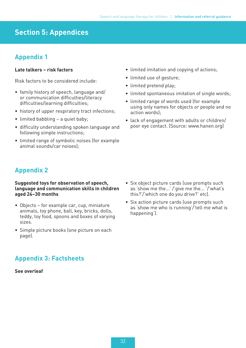### **Section 5: Appendices**

### **Appendix 1**

#### **Late talkers – risk factors**

Risk factors to be considered include:

- family history of speech, language and/ or communication difficulties/literacy difficulties/learning difficulties;
- history of upper respiratory tract infections;
- limited babbling a quiet baby;
- difficulty understanding spoken language and following simple instructions;
- limited range of symbolic noises (for example animal sounds/car noises);
- limited imitation and copying of actions;
- limited use of gesture;
- limited pretend play;
- limited spontaneous imitation of single words;
- limited range of words used (for example using only names for objects or people and no action words);
- lack of engagement with adults or children/ poor eye contact. (Source: www.hanen.org)

### **Appendix 2**

#### **Suggested toys for observation of speech, language and communication skills in children aged 24–30 months**

- Objects for example car, cup, miniature animals, toy phone, ball, key, bricks, dolls, teddy, toy food, spoons and boxes of varying sizes.
- Simple picture books (one picture on each page).

### **Appendix 3: Factsheets**

**See overleaf**

- Six object picture cards (use prompts such as 'show me the...' /'give me the... '/'what's this?'/'which one do you drive?' etc).
- Six action picture cards (use prompts such as 'show me who is running'/'tell me what is happening').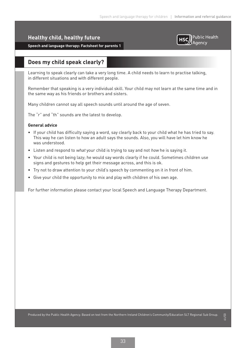**Speech and language therapy: Factsheet for parents 1**



### **Does my child speak clearly?**

Learning to speak clearly can take a very long time. A child needs to learn to practise talking, in different situations and with different people.

Remember that speaking is a very individual skill. Your child may not learn at the same time and in the same way as his friends or brothers and sisters.

Many children cannot say all speech sounds until around the age of seven.

The "r" and "th" sounds are the latest to develop.

#### **General advice**

- If your child has difficulty saying a word, say clearly back to your child what he has tried to say. This way he can listen to how an adult says the sounds. Also, you will have let him know he was understood.
- Listen and respond to what your child is trying to say and not how he is saying it.
- Your child is not being lazy; he would say words clearly if he could. Sometimes children use signs and gestures to help get their message across, and this is ok.
- Try not to draw attention to your child's speech by commenting on it in front of him.
- Give your child the opportunity to mix and play with children of his own age.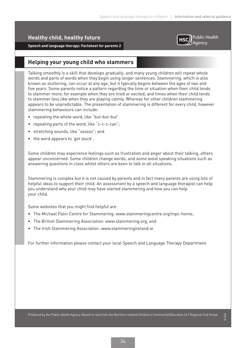**Speech and language therapy: Factsheet for parents 2**



#### **Helping your young child who stammers**

Talking smoothly is a skill that develops gradually, and many young children will repeat whole words and parts of words when they begin using longer sentences. Stammering, which is also known as stuttering, can occur at any age, but it typically begins between the ages of two and five years. Some parents notice a pattern regarding the time or situation when their child tends to stammer more, for example when they are tired or excited, and times when their child tends to stammer less like when they are playing calmly. Whereas for other children stammering appears to be unpredictable. The presentation of stammering is different for every child, however stammering behaviours can include:

- repeating the whole word, like "but-but-but"
- repeating parts of the word, like "c-c-c-can";
- stretching sounds, like "ssssso"; and
- the word appears to 'get stuck'.

Some children may experience feelings such as frustration and anger about their talking, others appear unconcerned. Some children change words, and some avoid speaking situations such as answering questions in class whilst others are keen to talk in all situations.

Stammering is complex but it is not caused by parents and in fact many parents are using lots of helpful ideas to support their child. An assessment by a speech and language therapist can help you understand why your child may have started stammering and how you can help your child.

Some websites that you might find helpful are:

- The Michael Palin Centre for Stammering: www.stammeringcentre.org/mpc-home;
- The British Stammering Association: www.stammering.org; and
- The Irish Stammering Association: www.stammeringireland.ie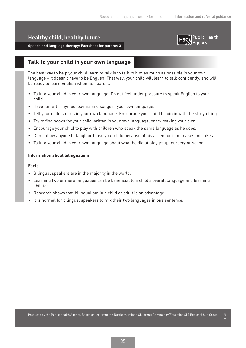#### **Speech and language therapy: Factsheet for parents 3**



#### **Talk to your child in your own language**

The best way to help your child learn to talk is to talk to him as much as possible in your own language – it doesn't have to be English. That way, your child will learn to talk confidently, and will be ready to learn English when he hears it.

- Talk to your child in your own language. Do not feel under pressure to speak English to your child.
- Have fun with rhymes, poems and songs in your own language.
- Tell your child stories in your own language. Encourage your child to join in with the storytelling.
- Try to find books for your child written in your own language, or try making your own.
- Encourage your child to play with children who speak the same language as he does.
- Don't allow anyone to laugh or tease your child because of his accent or if he makes mistakes.
- Talk to your child in your own language about what he did at playgroup, nursery or school.

#### **Information about bilingualism**

#### **Facts**

- Bilingual speakers are in the majority in the world.
- Learning two or more languages can be beneficial to a child's overall language and learning abilities.
- Research shows that bilingualism in a child or adult is an advantage.
- It is normal for bilingual speakers to mix their two languages in one sentence.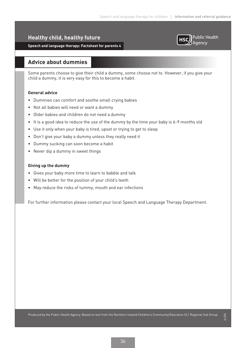Public Health<br>Agency

#### **Healthy child, healthy future**

**Speech and language therapy: Factsheet for parents 4**

### **Advice about dummies**

Some parents choose to give their child a dummy, some choose not to. However, if you give your child a dummy, it is very easy for this to become a habit.

#### **General advice**

- Dummies can comfort and soothe small crying babies
- Not all babies will need or want a dummy
- Older babies and children do not need a dummy
- It is a good idea to reduce the use of the dummy by the time your baby is 6-9 months old
- Use it only when your baby is tired, upset or trying to get to sleep
- Don't give your baby a dummy unless they really need it
- Dummy sucking can soon become a habit
- Never dip a dummy in sweet things

#### **Giving up the dummy**

- Gives your baby more time to learn to babble and talk
- Will be better for the position of your child's teeth
- May reduce the risks of tummy, mouth and ear infections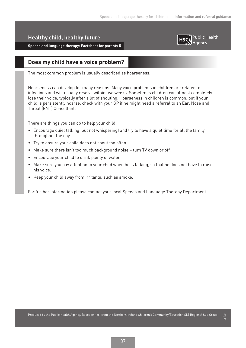**Speech and language therapy: Factsheet for parents 5**

#### **Public Health Agency**

#### **Does my child have a voice problem?**

The most common problem is usually described as hoarseness.

Hoarseness can develop for many reasons. Many voice problems in children are related to infections and will usually resolve within two weeks. Sometimes children can almost completely lose their voice, typically after a lot of shouting. Hoarseness in children is common, but if your child is persistently hoarse, check with your GP if he might need a referral to an Ear, Nose and Throat (ENT) Consultant.

There are things you can do to help your child:

- Encourage quiet talking (but not whispering) and try to have a quiet time for all the family throughout the day.
- Try to ensure your child does not shout too often.
- Make sure there isn't too much background noise turn TV down or off.
- Encourage your child to drink plenty of water.
- Make sure you pay attention to your child when he is talking, so that he does not have to raise his voice.
- Keep your child away from irritants, such as smoke.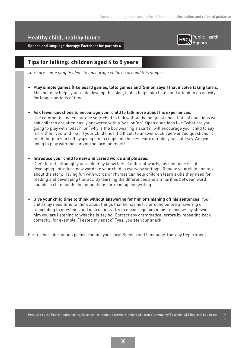**Speech and language therapy: Factsheet for parents 6**



### **Tips for talking: children aged 4 to 5 years**

Here are some simple ideas to encourage children around this stage:

- **• Play simple games (like board games, lotto games and 'Simon says') that involve taking turns.** This not only helps your child develop this skill, it also helps him listen and attend to an activity for longer periods of time.
- **• Ask fewer questions to encourage your child to talk more about his experiences.**

Use comments and encourage your child to talk without being questioned. Lots of questions we ask children are often easily answered with a 'yes' or 'no'. Open questions like "what are you going to play with today?" or "why is the boy wearing a scarf?" will encourage your child to say more than 'yes' and 'no'. If your child finds it difficult to answer such open-ended questions, it might help to start off by giving him a couple of choices. For example, you could say 'Are you going to play with the cars or the farm animals?'.

**• Introduce your child to new and varied words and phrases.** 

Don't forget, although your child may know lots of different words, his language is still developing. Introduce new words to your child in everyday settings. Read to your child and talk about the story. Having fun with words or rhymes can help children learn skills they need for reading and developing literacy. By learning the differences and similarities between word sounds, a child builds the foundations for reading and writing.

**• Give your child time to think without answering for him or finishing off his sentences.** Your child may need time to think about things that he has heard or done before answering or responding to questions and instructions. Try to encourage him in his responses by showing him you are listening to what he is saying. Correct any grammatical errors by repeating back correctly, for example: "I eated my snack" "yes, you ate your snack."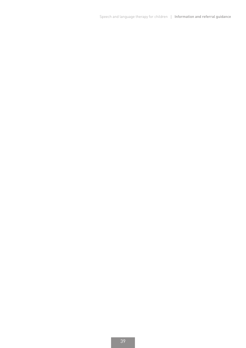Speech and language therapy for children | Information and referral guidance